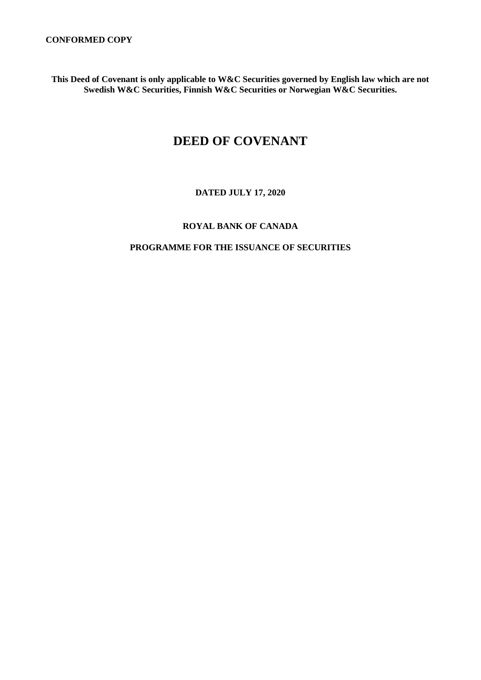**This Deed of Covenant is only applicable to W&C Securities governed by English law which are not Swedish W&C Securities, Finnish W&C Securities or Norwegian W&C Securities.**

# **DEED OF COVENANT**

## **DATED JULY 17, 2020**

### **ROYAL BANK OF CANADA**

### **PROGRAMME FOR THE ISSUANCE OF SECURITIES**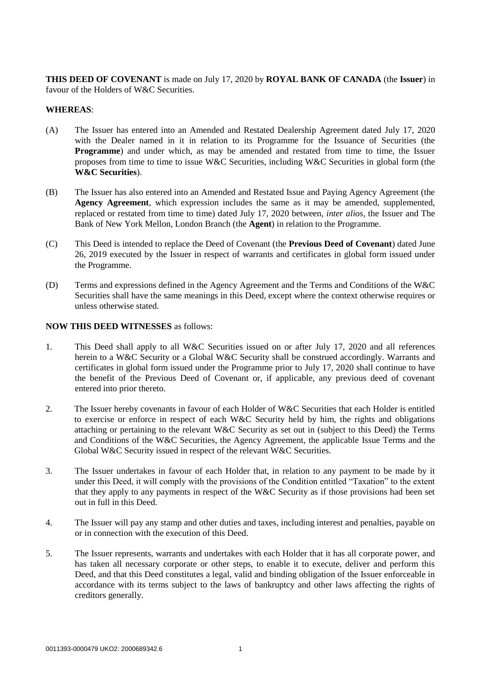**THIS DEED OF COVENANT** is made on July 17, 2020 by **ROYAL BANK OF CANADA** (the **Issuer**) in favour of the Holders of W&C Securities.

#### **WHEREAS**:

- (A) The Issuer has entered into an Amended and Restated Dealership Agreement dated July 17, 2020 with the Dealer named in it in relation to its Programme for the Issuance of Securities (the **Programme**) and under which, as may be amended and restated from time to time, the Issuer proposes from time to time to issue W&C Securities, including W&C Securities in global form (the **W&C Securities**).
- (B) The Issuer has also entered into an Amended and Restated Issue and Paying Agency Agreement (the **Agency Agreement**, which expression includes the same as it may be amended, supplemented, replaced or restated from time to time) dated July 17, 2020 between, *inter alios*, the Issuer and The Bank of New York Mellon, London Branch (the **Agent**) in relation to the Programme.
- (C) This Deed is intended to replace the Deed of Covenant (the **Previous Deed of Covenant**) dated June 26, 2019 executed by the Issuer in respect of warrants and certificates in global form issued under the Programme.
- (D) Terms and expressions defined in the Agency Agreement and the Terms and Conditions of the W&C Securities shall have the same meanings in this Deed, except where the context otherwise requires or unless otherwise stated.

#### **NOW THIS DEED WITNESSES** as follows:

- 1. This Deed shall apply to all W&C Securities issued on or after July 17, 2020 and all references herein to a W&C Security or a Global W&C Security shall be construed accordingly. Warrants and certificates in global form issued under the Programme prior to July 17, 2020 shall continue to have the benefit of the Previous Deed of Covenant or, if applicable, any previous deed of covenant entered into prior thereto.
- 2. The Issuer hereby covenants in favour of each Holder of W&C Securities that each Holder is entitled to exercise or enforce in respect of each W&C Security held by him, the rights and obligations attaching or pertaining to the relevant W&C Security as set out in (subject to this Deed) the Terms and Conditions of the W&C Securities, the Agency Agreement, the applicable Issue Terms and the Global W&C Security issued in respect of the relevant W&C Securities.
- 3. The Issuer undertakes in favour of each Holder that, in relation to any payment to be made by it under this Deed, it will comply with the provisions of the Condition entitled "Taxation" to the extent that they apply to any payments in respect of the W&C Security as if those provisions had been set out in full in this Deed.
- 4. The Issuer will pay any stamp and other duties and taxes, including interest and penalties, payable on or in connection with the execution of this Deed.
- 5. The Issuer represents, warrants and undertakes with each Holder that it has all corporate power, and has taken all necessary corporate or other steps, to enable it to execute, deliver and perform this Deed, and that this Deed constitutes a legal, valid and binding obligation of the Issuer enforceable in accordance with its terms subject to the laws of bankruptcy and other laws affecting the rights of creditors generally.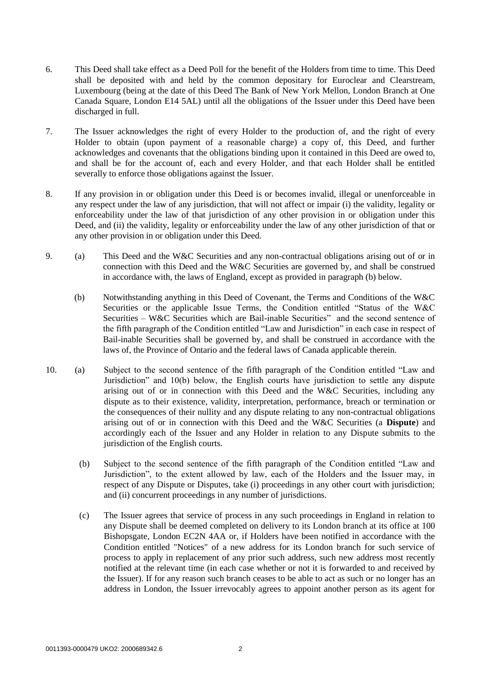- 6. This Deed shall take effect as a Deed Poll for the benefit of the Holders from time to time. This Deed shall be deposited with and held by the common depositary for Euroclear and Clearstream, Luxembourg (being at the date of this Deed The Bank of New York Mellon, London Branch at One Canada Square, London E14 5AL) until all the obligations of the Issuer under this Deed have been discharged in full.
- 7. The Issuer acknowledges the right of every Holder to the production of, and the right of every Holder to obtain (upon payment of a reasonable charge) a copy of, this Deed, and further acknowledges and covenants that the obligations binding upon it contained in this Deed are owed to, and shall be for the account of, each and every Holder, and that each Holder shall be entitled severally to enforce those obligations against the Issuer.
- 8. If any provision in or obligation under this Deed is or becomes invalid, illegal or unenforceable in any respect under the law of any jurisdiction, that will not affect or impair (i) the validity, legality or enforceability under the law of that jurisdiction of any other provision in or obligation under this Deed, and (ii) the validity, legality or enforceability under the law of any other jurisdiction of that or any other provision in or obligation under this Deed.
- 9. (a) This Deed and the W&C Securities and any non-contractual obligations arising out of or in connection with this Deed and the W&C Securities are governed by, and shall be construed in accordance with, the laws of England, except as provided in paragraph (b) below.
	- (b) Notwithstanding anything in this Deed of Covenant, the Terms and Conditions of the W&C Securities or the applicable Issue Terms, the Condition entitled "Status of the W&C Securities – W&C Securities which are Bail-inable Securities" and the second sentence of the fifth paragraph of the Condition entitled "Law and Jurisdiction" in each case in respect of Bail-inable Securities shall be governed by, and shall be construed in accordance with the laws of, the Province of Ontario and the federal laws of Canada applicable therein.
- 10. (a) Subject to the second sentence of the fifth paragraph of the Condition entitled "Law and Jurisdiction" and 10(b) below, the English courts have jurisdiction to settle any dispute arising out of or in connection with this Deed and the W&C Securities, including any dispute as to their existence, validity, interpretation, performance, breach or termination or the consequences of their nullity and any dispute relating to any non-contractual obligations arising out of or in connection with this Deed and the W&C Securities (a **Dispute**) and accordingly each of the Issuer and any Holder in relation to any Dispute submits to the jurisdiction of the English courts.
	- (b) Subject to the second sentence of the fifth paragraph of the Condition entitled "Law and Jurisdiction", to the extent allowed by law, each of the Holders and the Issuer may, in respect of any Dispute or Disputes, take (i) proceedings in any other court with jurisdiction; and (ii) concurrent proceedings in any number of jurisdictions.
	- (c) The Issuer agrees that service of process in any such proceedings in England in relation to any Dispute shall be deemed completed on delivery to its London branch at its office at 100 Bishopsgate, London EC2N 4AA or, if Holders have been notified in accordance with the Condition entitled "Notices" of a new address for its London branch for such service of process to apply in replacement of any prior such address, such new address most recently notified at the relevant time (in each case whether or not it is forwarded to and received by the Issuer). If for any reason such branch ceases to be able to act as such or no longer has an address in London, the Issuer irrevocably agrees to appoint another person as its agent for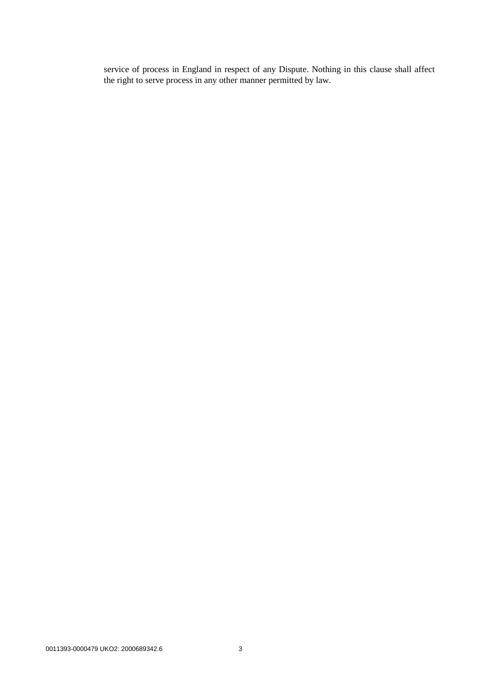service of process in England in respect of any Dispute. Nothing in this clause shall affect the right to serve process in any other manner permitted by law.